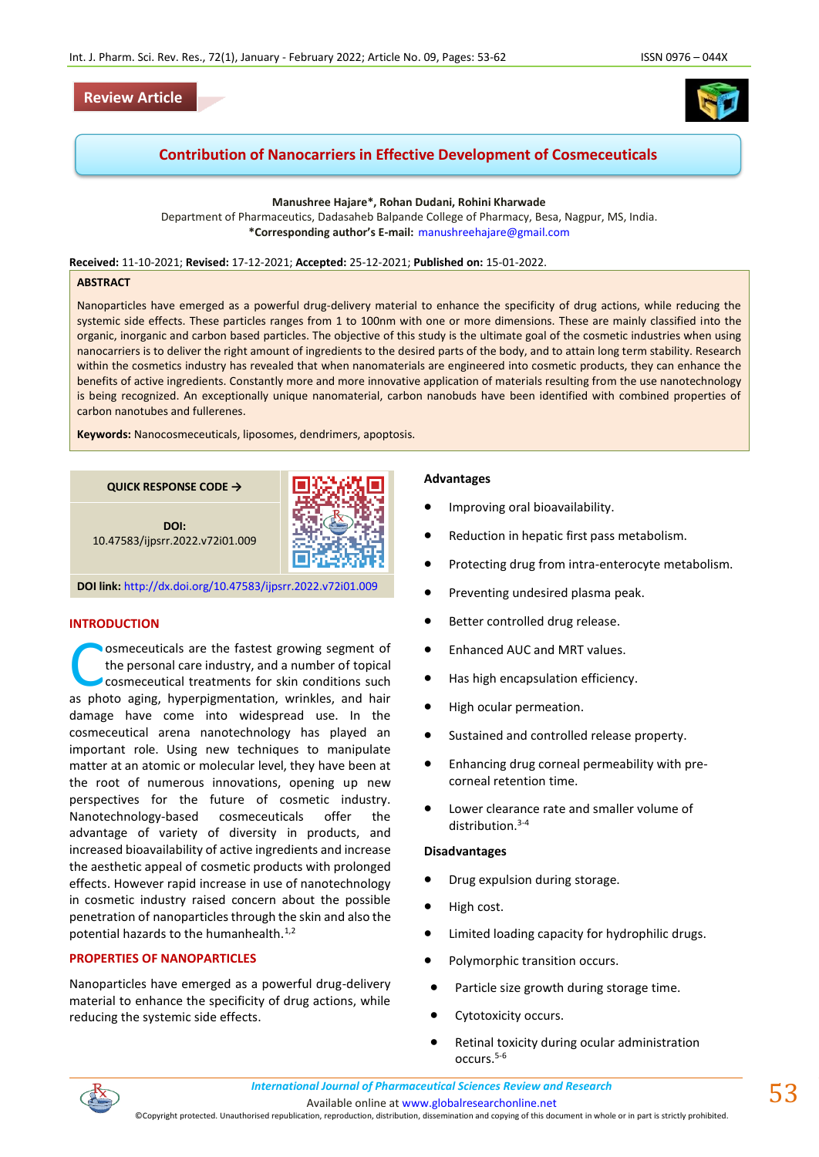# **Review Article**



# **Contribution of Nanocarriers in Effective Development of Cosmeceuticals**

**Manushree Hajare\*, Rohan Dudani, Rohini Kharwade**

Department of Pharmaceutics, Dadasaheb Balpande College of Pharmacy, Besa, Nagpur, MS, India. **\*Corresponding author's E-mail:** [manushreehajare@gmail.com](mailto:manushreehajare@gmail.com)

**Received:** 11-10-2021; **Revised:** 17-12-2021; **Accepted:** 25-12-2021; **Published on:** 15-01-2022.

#### **ABSTRACT**

Nanoparticles have emerged as a powerful drug-delivery material to enhance the specificity of drug actions, while reducing the systemic side effects. These particles ranges from 1 to 100nm with one or more dimensions. These are mainly classified into the organic, inorganic and carbon based particles. The objective of this study is the ultimate goal of the cosmetic industries when using nanocarriers is to deliver the right amount of ingredients to the desired parts of the body, and to attain long term stability. Research within the cosmetics industry has revealed that when nanomaterials are engineered into cosmetic products, they can enhance the benefits of active ingredients. Constantly more and more innovative application of materials resulting from the use nanotechnology is being recognized. An exceptionally unique nanomaterial, carbon nanobuds have been identified with combined properties of carbon nanotubes and fullerenes.

**Keywords:** Nanocosmeceuticals, liposomes, dendrimers, apoptosis.



**DOI link:** <http://dx.doi.org/10.47583/ijpsrr.2022.v72i01.009>

# **INTRODUCTION**

osmeceuticals are the fastest growing segment of the personal care industry, and a number of topical cosmeceutical treatments for skin conditions such **as photo aging, hyperpigmentation, wrinkles, and hair photo aging, hyperpigmentation, wrinkles, and hair space of the space of the space of the space of the space of the space of the space of the space of the space of the** damage have come into widespread use. In the cosmeceutical arena nanotechnology has played an important role. Using new techniques to manipulate matter at an atomic or molecular level, they have been at the root of numerous innovations, opening up new perspectives for the future of cosmetic industry. Nanotechnology-based cosmeceuticals offer the advantage of variety of diversity in products, and increased bioavailability of active ingredients and increase the aesthetic appeal of cosmetic products with prolonged effects. However rapid increase in use of nanotechnology in cosmetic industry raised concern about the possible penetration of nanoparticles through the skin and also the potential hazards to the humanhealth. $1,2$ 

# **PROPERTIES OF NANOPARTICLES**

Nanoparticles have emerged as a powerful drug-delivery material to enhance the specificity of drug actions, while reducing the systemic side effects.

# **Advantages**

- Improving oral bioavailability.
- Reduction in hepatic first pass metabolism.
- Protecting drug from intra-enterocyte metabolism.
- Preventing undesired plasma peak.
- Better controlled drug release.
- Enhanced AUC and MRT values.
- Has high encapsulation efficiency.
- High ocular permeation.
- Sustained and controlled release property.
- Enhancing drug corneal permeability with precorneal retention time.
- Lower clearance rate and smaller volume of distribution.<sup>3-4</sup>

#### **Disadvantages**

- Drug expulsion during storage.
- High cost.
- Limited loading capacity for hydrophilic drugs.
- Polymorphic transition occurs.
- Particle size growth during storage time.
- Cytotoxicity occurs.
- Retinal toxicity during ocular administration occurs.5-6

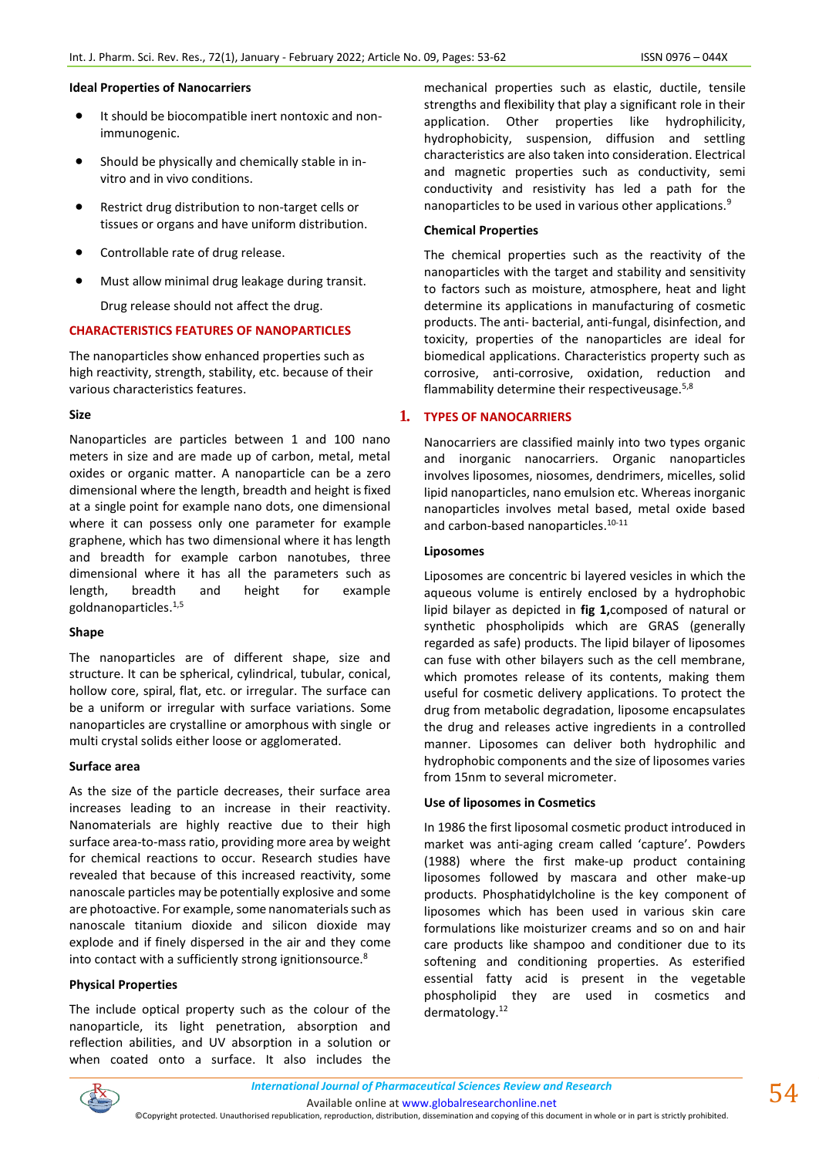#### **Ideal Properties of Nanocarriers**

- It should be biocompatible inert nontoxic and nonimmunogenic.
- Should be physically and chemically stable in invitro and in vivo conditions.
- Restrict drug distribution to non-target cells or tissues or organs and have uniform distribution.
- Controllable rate of drug release.
- Must allow minimal drug leakage during transit.

Drug release should not affect the drug.

# **CHARACTERISTICS FEATURES OF NANOPARTICLES**

The nanoparticles show enhanced properties such as high reactivity, strength, stability, etc. because of their various characteristics features.

### **Size**

Nanoparticles are particles between 1 and 100 nano meters in size and are made up of carbon, metal, metal oxides or organic matter. A nanoparticle can be a zero dimensional where the length, breadth and height is fixed at a single point for example nano dots, one dimensional where it can possess only one parameter for example graphene, which has two dimensional where it has length and breadth for example carbon nanotubes, three dimensional where it has all the parameters such as length, breadth and height for example goldnanoparticles.1,5

#### **Shape**

The nanoparticles are of different shape, size and structure. It can be spherical, cylindrical, tubular, conical, hollow core, spiral, flat, etc. or irregular. The surface can be a uniform or irregular with surface variations. Some nanoparticles are crystalline or amorphous with single or multi crystal solids either loose or agglomerated.

#### **Surface area**

As the size of the particle decreases, their surface area increases leading to an increase in their reactivity. Nanomaterials are highly reactive due to their high surface area-to-mass ratio, providing more area by weight for chemical reactions to occur. Research studies have revealed that because of this increased reactivity, some nanoscale particles may be potentially explosive and some are photoactive. For example, some nanomaterials such as nanoscale titanium dioxide and silicon dioxide may explode and if finely dispersed in the air and they come into contact with a sufficiently strong ignitionsource.<sup>8</sup>

# **Physical Properties**

The include optical property such as the colour of the nanoparticle, its light penetration, absorption and reflection abilities, and UV absorption in a solution or when coated onto a surface. It also includes the mechanical properties such as elastic, ductile, tensile strengths and flexibility that play a significant role in their application. Other properties like hydrophilicity, hydrophobicity, suspension, diffusion and settling characteristics are also taken into consideration. Electrical and magnetic properties such as conductivity, semi conductivity and resistivity has led a path for the nanoparticles to be used in various other applications.<sup>9</sup>

### **Chemical Properties**

The chemical properties such as the reactivity of the nanoparticles with the target and stability and sensitivity to factors such as moisture, atmosphere, heat and light determine its applications in manufacturing of cosmetic products. The anti- bacterial, anti-fungal, disinfection, and toxicity, properties of the nanoparticles are ideal for biomedical applications. Characteristics property such as corrosive, anti-corrosive, oxidation, reduction and flammability determine their respectiveusage.<sup>5,8</sup>

# **1. TYPES OF NANOCARRIERS**

Nanocarriers are classified mainly into two types organic and inorganic nanocarriers. Organic nanoparticles involves liposomes, niosomes, dendrimers, micelles, solid lipid nanoparticles, nano emulsion etc. Whereas inorganic nanoparticles involves metal based, metal oxide based and carbon-based nanoparticles.<sup>10-11</sup>

### **Liposomes**

Liposomes are concentric bi layered vesicles in which the aqueous volume is entirely enclosed by a hydrophobic lipid bilayer as depicted in **fig 1,**composed of natural or synthetic phospholipids which are GRAS (generally regarded as safe) products. The lipid bilayer of liposomes can fuse with other bilayers such as the cell membrane, which promotes release of its contents, making them useful for cosmetic delivery applications. To protect the drug from metabolic degradation, liposome encapsulates the drug and releases active ingredients in a controlled manner. Liposomes can deliver both hydrophilic and hydrophobic components and the size of liposomes varies from 15nm to several micrometer.

#### **Use of liposomes in Cosmetics**

In 1986 the first liposomal cosmetic product introduced in market was anti-aging cream called 'capture'. Powders (1988) where the first make-up product containing liposomes followed by mascara and other make-up products. Phosphatidylcholine is the key component of liposomes which has been used in various skin care formulations like moisturizer creams and so on and hair care products like shampoo and conditioner due to its softening and conditioning properties. As esterified essential fatty acid is present in the vegetable phospholipid they are used in cosmetics and dermatology.<sup>12</sup>

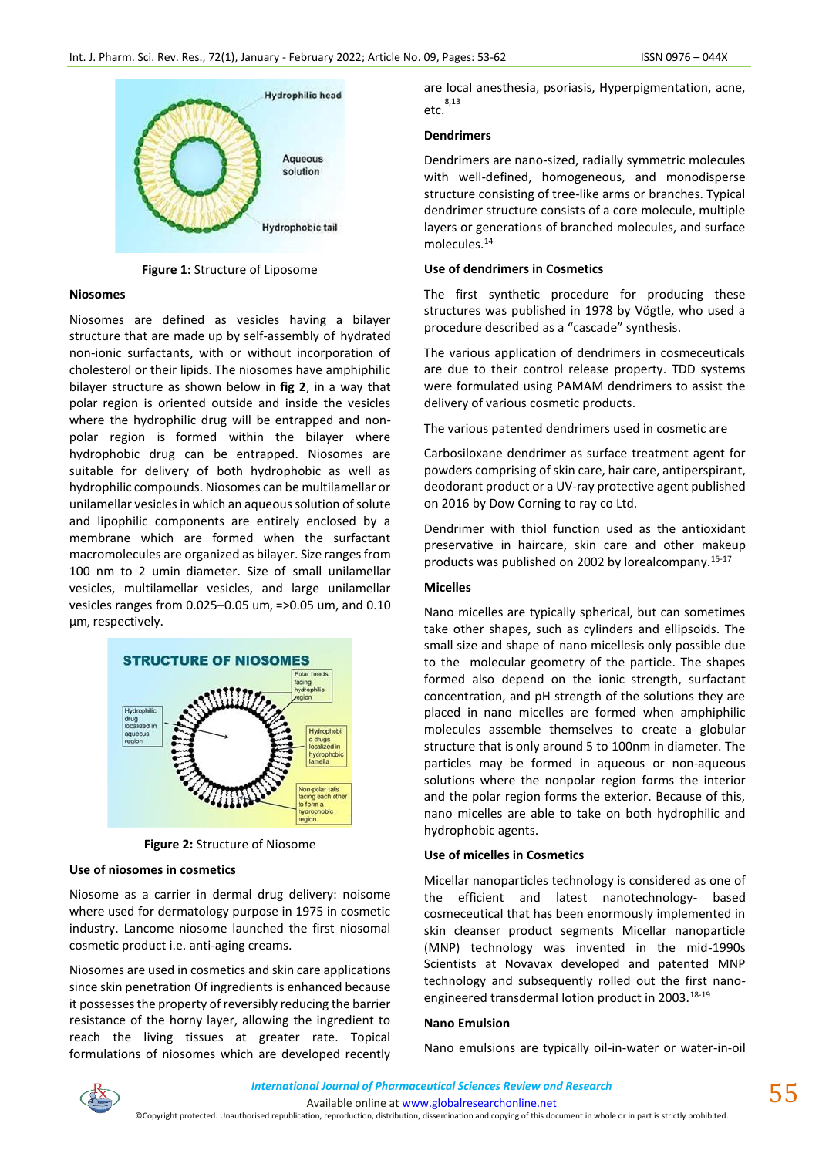

**Figure 1:** Structure of Liposome

#### **Niosomes**

Niosomes are defined as vesicles having a bilayer structure that are made up by self-assembly of hydrated non-ionic surfactants, with or without incorporation of cholesterol or their lipids. The niosomes have amphiphilic bilayer structure as shown below in **fig 2**, in a way that polar region is oriented outside and inside the vesicles where the hydrophilic drug will be entrapped and nonpolar region is formed within the bilayer where hydrophobic drug can be entrapped. Niosomes are suitable for delivery of both hydrophobic as well as hydrophilic compounds. Niosomes can be multilamellar or unilamellar vesicles in which an aqueous solution of solute and lipophilic components are entirely enclosed by a membrane which are formed when the surfactant macromolecules are organized as bilayer. Size ranges from 100 nm to 2 umin diameter. Size of small unilamellar vesicles, multilamellar vesicles, and large unilamellar vesicles ranges from 0.025–0.05 um, =>0.05 um, and 0.10 µm, respectively.



**Figure 2:** Structure of Niosome

# **Use of niosomes in cosmetics**

Niosome as a carrier in dermal drug delivery: noisome where used for dermatology purpose in 1975 in cosmetic industry. Lancome niosome launched the first niosomal cosmetic product i.e. anti-aging creams.

Niosomes are used in cosmetics and skin care applications since skin penetration Of ingredients is enhanced because it possesses the property of reversibly reducing the barrier resistance of the horny layer, allowing the ingredient to reach the living tissues at greater rate. Topical formulations of niosomes which are developed recently are local anesthesia, psoriasis, Hyperpigmentation, acne, etc. 8,13

# **Dendrimers**

Dendrimers are nano-sized, radially symmetric molecules with well-defined, homogeneous, and monodisperse structure consisting of tree-like arms or branches. Typical dendrimer structure consists of a core molecule, multiple layers or generations of branched molecules, and surface molecules.<sup>14</sup>

# **Use of dendrimers in Cosmetics**

The first synthetic procedure for producing these structures was published in 1978 by Vögtle, who used a procedure described as a "cascade" synthesis.

The various application of dendrimers in cosmeceuticals are due to their control release property. TDD systems were formulated using PAMAM dendrimers to assist the delivery of various cosmetic products.

The various patented dendrimers used in cosmetic are

Carbosiloxane dendrimer as surface treatment agent for powders comprising of skin care, hair care, antiperspirant, deodorant product or a UV-ray protective agent published on 2016 by Dow Corning to ray co Ltd.

Dendrimer with thiol function used as the antioxidant preservative in haircare, skin care and other makeup products was published on 2002 by lorealcompany.15-17

# **Micelles**

Nano micelles are typically spherical, but can sometimes take other shapes, such as cylinders and ellipsoids. The small size and shape of nano micellesis only possible due to the molecular geometry of the particle. The shapes formed also depend on the ionic strength, surfactant concentration, and pH strength of the solutions they are placed in nano micelles are formed when amphiphilic molecules assemble themselves to create a globular structure that is only around 5 to 100nm in diameter. The particles may be formed in aqueous or non-aqueous solutions where the nonpolar region forms the interior and the polar region forms the exterior. Because of this, nano micelles are able to take on both hydrophilic and hydrophobic agents.

# **Use of micelles in Cosmetics**

Micellar nanoparticles technology is considered as one of the efficient and latest nanotechnology- based cosmeceutical that has been enormously implemented in skin cleanser product segments Micellar nanoparticle (MNP) technology was invented in the mid-1990s Scientists at Novavax developed and patented MNP technology and subsequently rolled out the first nanoengineered transdermal lotion product in 2003.18-19

# **Nano Emulsion**

Nano emulsions are typically oil-in-water or water-in-oil



Available online a[t www.globalresearchonline.net](http://www.globalresearchonline.net/)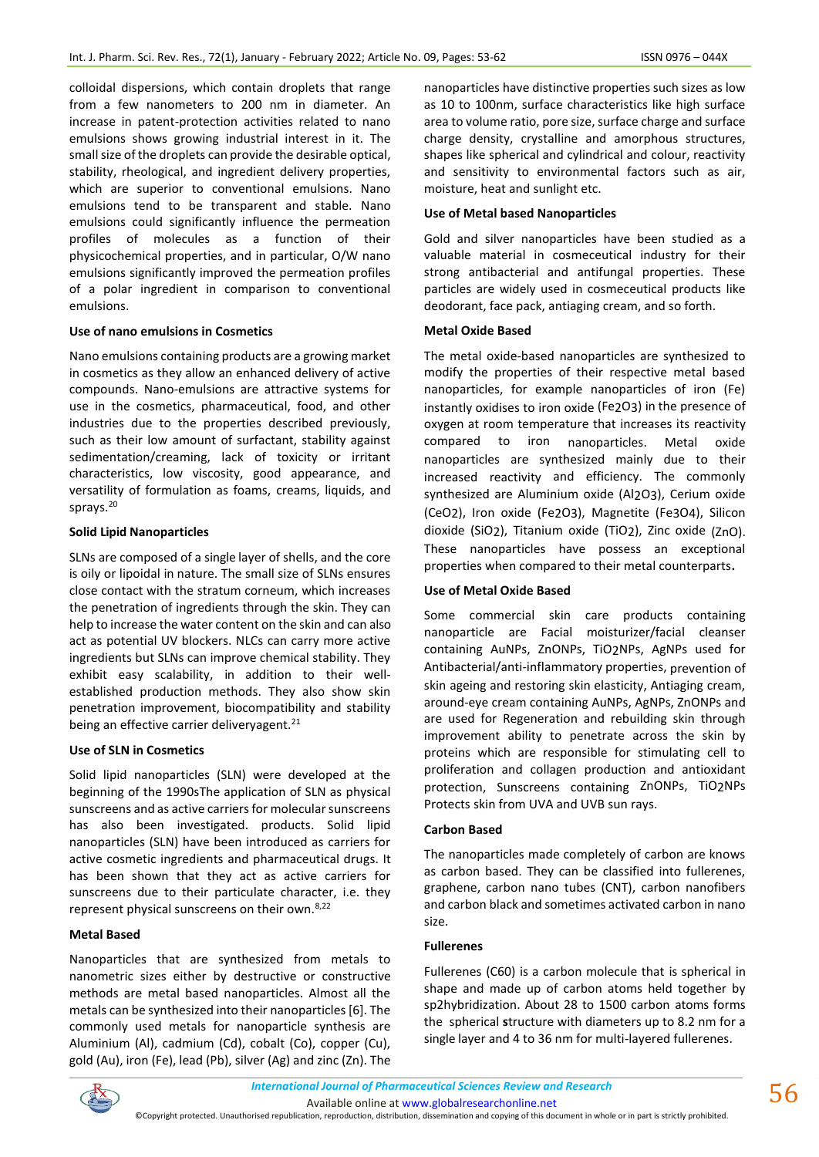colloidal dispersions, which contain droplets that range from a few nanometers to 200 nm in diameter. An increase in patent-protection activities related to nano emulsions shows growing industrial interest in it. The small size of the droplets can provide the desirable optical, stability, rheological, and ingredient delivery properties, which are superior to conventional emulsions. Nano emulsions tend to be transparent and stable. Nano emulsions could significantly influence the permeation profiles of molecules as a function of their physicochemical properties, and in particular, O/W nano emulsions significantly improved the permeation profiles of a polar ingredient in comparison to conventional emulsions.

### **Use of nano emulsions in Cosmetics**

Nano emulsions containing products are a growing market in cosmetics as they allow an enhanced delivery of active compounds. Nano-emulsions are attractive systems for use in the cosmetics, pharmaceutical, food, and other industries due to the properties described previously, such as their low amount of surfactant, stability against sedimentation/creaming, lack of toxicity or irritant characteristics, low viscosity, good appearance, and versatility of formulation as foams, creams, liquids, and sprays.<sup>20</sup>

### **Solid Lipid Nanoparticles**

SLNs are composed of a single layer of shells, and the core is oily or lipoidal in nature. The small size of SLNs ensures close contact with the stratum corneum, which increases the penetration of ingredients through the skin. They can help to increase the water content on the skin and can also act as potential UV blockers. NLCs can carry more active ingredients but SLNs can improve chemical stability. They exhibit easy scalability, in addition to their wellestablished production methods. They also show skin penetration improvement, biocompatibility and stability being an effective carrier deliveryagent.<sup>21</sup>

#### **Use of SLN in Cosmetics**

Solid lipid nanoparticles (SLN) were developed at the beginning of the 1990sThe application of SLN as physical sunscreens and as active carriers for molecular sunscreens has also been investigated. products. Solid lipid nanoparticles (SLN) have been introduced as carriers for active cosmetic ingredients and pharmaceutical drugs. It has been shown that they act as active carriers for sunscreens due to their particulate character, i.e. they represent physical sunscreens on their own.8,22

#### **Metal Based**

Nanoparticles that are synthesized from metals to nanometric sizes either by destructive or constructive methods are metal based nanoparticles. Almost all the metals can be synthesized into their nanoparticles [6]. The commonly used metals for nanoparticle synthesis are Aluminium (Al), cadmium (Cd), cobalt (Co), copper (Cu), gold (Au), iron (Fe), lead (Pb), silver (Ag) and zinc (Zn). The nanoparticles have distinctive properties such sizes as low as 10 to 100nm, surface characteristics like high surface area to volume ratio, pore size, surface charge and surface charge density, crystalline and amorphous structures, shapes like spherical and cylindrical and colour, reactivity and sensitivity to environmental factors such as air, moisture, heat and sunlight etc.

### **Use of Metal based Nanoparticles**

Gold and silver nanoparticles have been studied as a valuable material in cosmeceutical industry for their strong antibacterial and antifungal properties. These particles are widely used in cosmeceutical products like deodorant, face pack, antiaging cream, and so forth.

#### **Metal Oxide Based**

The metal oxide-based nanoparticles are synthesized to modify the properties of their respective metal based nanoparticles, for example nanoparticles of iron (Fe) instantly oxidises to iron oxide (Fe2O3) in the presence of oxygen at room temperature that increases its reactivity compared to iron nanoparticles. Metal oxide nanoparticles are synthesized mainly due to their increased reactivity and efficiency. The commonly synthesized are Aluminium oxide (Al2O3), Cerium oxide (CeO2), Iron oxide (Fe2O3), Magnetite (Fe3O4), Silicon dioxide (SiO2), Titanium oxide (TiO2), Zinc oxide (ZnO). These nanoparticles have possess an exceptional properties when compared to their metal counterparts**.**

#### **Use of Metal Oxide Based**

Some commercial skin care products containing nanoparticle are Facial moisturizer/facial cleanser containing AuNPs, ZnONPs, TiO2NPs, AgNPs used for Antibacterial/anti-inflammatory properties, prevention of skin ageing and restoring skin elasticity, Antiaging cream, around-eye cream containing AuNPs, AgNPs, ZnONPs and are used for Regeneration and rebuilding skin through improvement ability to penetrate across the skin by proteins which are responsible for stimulating cell to proliferation and collagen production and antioxidant protection, Sunscreens containing ZnONPs, TiO2NPs Protects skin from UVA and UVB sun rays.

#### **Carbon Based**

The nanoparticles made completely of carbon are knows as carbon based. They can be classified into fullerenes, graphene, carbon nano tubes (CNT), carbon nanofibers and carbon black and sometimes activated carbon in nano size.

#### **Fullerenes**

Fullerenes (C60) is a carbon molecule that is spherical in shape and made up of carbon atoms held together by sp2hybridization. About 28 to 1500 carbon atoms forms the spherical **s**tructure with diameters up to 8.2 nm for a single layer and 4 to 36 nm for multi-layered fullerenes.

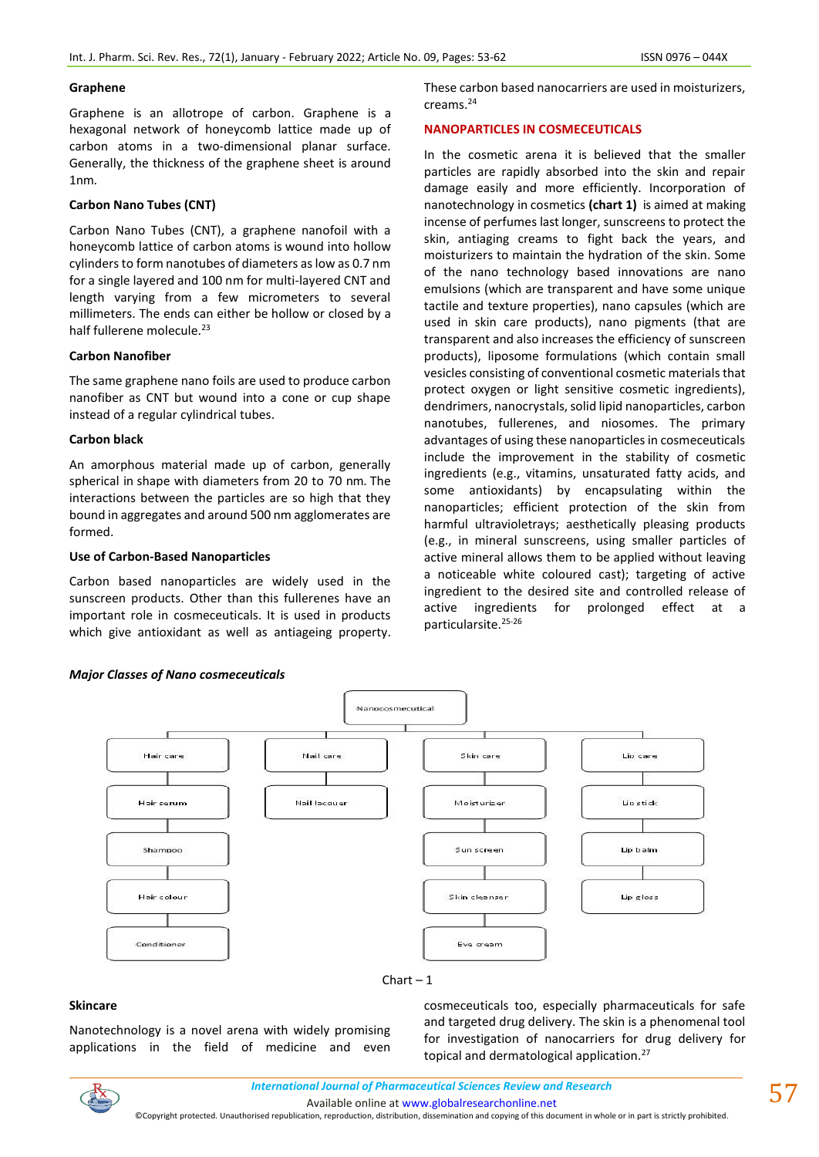#### **Graphene**

Graphene is an allotrope of carbon. Graphene is a hexagonal network of honeycomb lattice made up of carbon atoms in a two-dimensional planar surface. Generally, the thickness of the graphene sheet is around 1nm.

# **Carbon Nano Tubes (CNT)**

Carbon Nano Tubes (CNT), a graphene nanofoil with a honeycomb lattice of carbon atoms is wound into hollow cylinders to form nanotubes of diameters as low as 0.7 nm for a single layered and 100 nm for multi-layered CNT and length varying from a few micrometers to several millimeters. The ends can either be hollow or closed by a half fullerene molecule.<sup>23</sup>

# **Carbon Nanofiber**

The same graphene nano foils are used to produce carbon nanofiber as CNT but wound into a cone or cup shape instead of a regular cylindrical tubes.

# **Carbon black**

An amorphous material made up of carbon, generally spherical in shape with diameters from 20 to 70 nm. The interactions between the particles are so high that they bound in aggregates and around 500 nm agglomerates are formed.

# **Use of Carbon-Based Nanoparticles**

Carbon based nanoparticles are widely used in the sunscreen products. Other than this fullerenes have an important role in cosmeceuticals. It is used in products which give antioxidant as well as antiageing property. These carbon based nanocarriers are used in moisturizers, creams.<sup>24</sup>

# **NANOPARTICLES IN COSMECEUTICALS**

In the cosmetic arena it is believed that the smaller particles are rapidly absorbed into the skin and repair damage easily and more efficiently. Incorporation of nanotechnology in cosmetics **(chart 1)** is aimed at making incense of perfumes last longer, sunscreens to protect the skin, antiaging creams to fight back the years, and moisturizers to maintain the hydration of the skin. Some of the nano technology based innovations are nano emulsions (which are transparent and have some unique tactile and texture properties), nano capsules (which are used in skin care products), nano pigments (that are transparent and also increases the efficiency of sunscreen products), liposome formulations (which contain small vesicles consisting of conventional cosmetic materials that protect oxygen or light sensitive cosmetic ingredients), dendrimers, nanocrystals, solid lipid nanoparticles, carbon nanotubes, fullerenes, and niosomes. The primary advantages of using these nanoparticles in cosmeceuticals include the improvement in the stability of cosmetic ingredients (e.g., vitamins, unsaturated fatty acids, and some antioxidants) by encapsulating within the nanoparticles; efficient protection of the skin from harmful ultravioletrays; aesthetically pleasing products (e.g., in mineral sunscreens, using smaller particles of active mineral allows them to be applied without leaving a noticeable white coloured cast); targeting of active ingredient to the desired site and controlled release of active ingredients for prolonged effect at a particularsite.<sup>25-26</sup>



#### $Chart - 1$

#### **Skincare**

Nanotechnology is a novel arena with widely promising applications in the field of medicine and even cosmeceuticals too, especially pharmaceuticals for safe and targeted drug delivery. The skin is a phenomenal tool for investigation of nanocarriers for drug delivery for topical and dermatological application.27

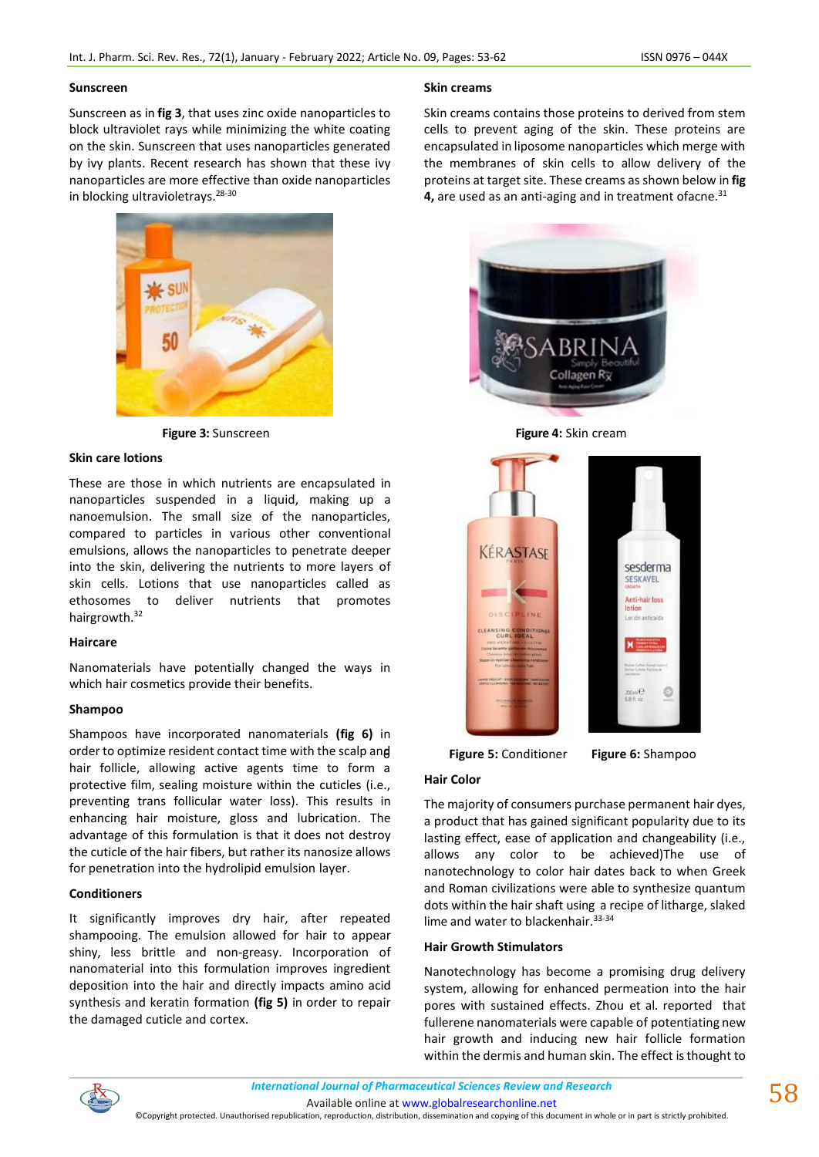#### **Sunscreen**

Sunscreen as in **fig 3**, that uses zinc oxide nanoparticles to block ultraviolet rays while minimizing the white coating on the skin. Sunscreen that uses nanoparticles generated by ivy plants. Recent research has shown that these ivy nanoparticles are more effective than oxide nanoparticles in blocking ultravioletrays.28-30



### **Skin care lotions**

These are those in which nutrients are encapsulated in nanoparticles suspended in a liquid, making up a nanoemulsion. The small size of the nanoparticles, compared to particles in various other conventional emulsions, allows the nanoparticles to penetrate deeper into the skin, delivering the nutrients to more layers of skin cells. Lotions that use nanoparticles called as ethosomes to deliver nutrients that promotes hairgrowth.<sup>32</sup>

# **Haircare**

Nanomaterials have potentially changed the ways in which hair cosmetics provide their benefits.

# **Shampoo**

Shampoos have incorporated nanomaterials **(fig 6)** in order to optimize resident contact time with the scalp and hair follicle, allowing active agents time to form a protective film, sealing moisture within the cuticles (i.e., preventing trans follicular water loss). This results in enhancing hair moisture, gloss and lubrication. The advantage of this formulation is that it does not destroy the cuticle of the hair fibers, but rather its nanosize allows for penetration into the hydrolipid emulsion layer.

# **Conditioners**

It significantly improves dry hair, after repeated shampooing. The emulsion allowed for hair to appear shiny, less brittle and non-greasy. Incorporation of nanomaterial into this formulation improves ingredient deposition into the hair and directly impacts amino acid synthesis and keratin formation **(fig 5)** in order to repair the damaged cuticle and cortex.

### **Skin creams**

Skin creams contains those proteins to derived from stem cells to prevent aging of the skin. These proteins are encapsulated in liposome nanoparticles which merge with the membranes of skin cells to allow delivery of the proteins at target site. These creams as shown below in **fig 4.** are used as an anti-aging and in treatment of acne.<sup>31</sup>







6 **Figure 5:** Conditioner **Figure 6:** Shampoo

### **Hair Color**

The majority of consumers purchase permanent hair dyes, a product that has gained significant popularity due to its lasting effect, ease of application and changeability (i.e., allows any color to be achieved)The use of nanotechnology to color hair dates back to when Greek and Roman civilizations were able to synthesize quantum dots within the hair shaft using a recipe of litharge, slaked lime and water to blackenhair. 33-34

#### **Hair Growth Stimulators**

Nanotechnology has become a promising drug delivery system, allowing for enhanced permeation into the hair pores with sustained effects. Zhou et al. reported that fullerene nanomaterials were capable of potentiating new hair growth and inducing new hair follicle formation within the dermis and human skin. The effect is thought to



Available online a[t www.globalresearchonline.net](http://www.globalresearchonline.net/)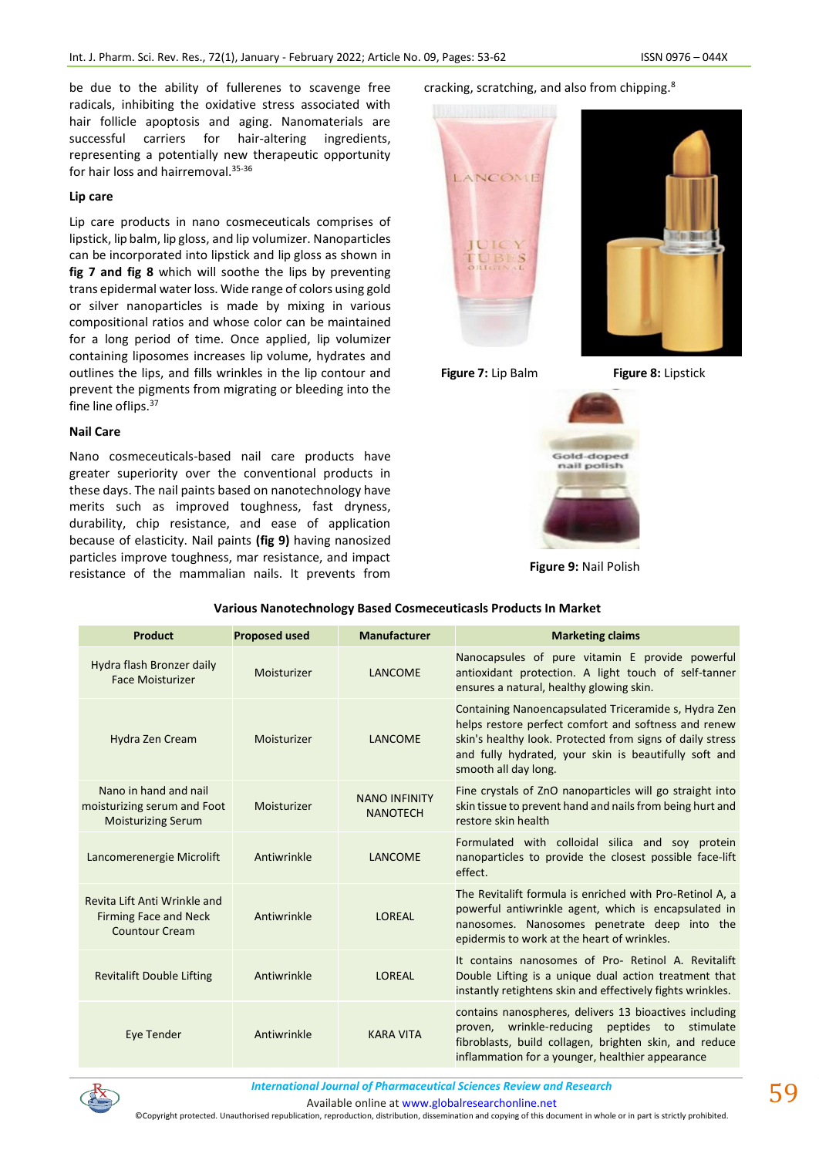be due to the ability of fullerenes to scavenge free radicals, inhibiting the oxidative stress associated with hair follicle apoptosis and aging. Nanomaterials are successful carriers for hair-altering ingredients, representing a potentially new therapeutic opportunity for hair loss and hairremoval. 35-36

#### **Lip care**

Lip care products in nano cosmeceuticals comprises of lipstick, lip balm, lip gloss, and lip volumizer. Nanoparticles can be incorporated into lipstick and lip gloss as shown in **fig 7 and fig 8** which will soothe the lips by preventing trans epidermal water loss. Wide range of colors using gold or silver nanoparticles is made by mixing in various compositional ratios and whose color can be maintained for a long period of time. Once applied, lip volumizer containing liposomes increases lip volume, hydrates and outlines the lips, and fills wrinkles in the lip contour and prevent the pigments from migrating or bleeding into the fine line oflips.<sup>37</sup>

# **Nail Care**

Nano cosmeceuticals-based nail care products have greater superiority over the conventional products in these days. The nail paints based on nanotechnology have merits such as improved toughness, fast dryness, durability, chip resistance, and ease of application because of elasticity. Nail paints **(fig 9)** having nanosized particles improve toughness, mar resistance, and impact resistance of the mammalian nails. It prevents from cracking, scratching, and also from chipping.<sup>8</sup>





**Figure 7:** Lip Balm **Figure 8:** Lipstick



**Figure 9:** Nail Polish

| <b>Product</b>                                                                        | <b>Proposed used</b> | <b>Manufacturer</b>                     | <b>Marketing claims</b>                                                                                                                                                                                                                                    |
|---------------------------------------------------------------------------------------|----------------------|-----------------------------------------|------------------------------------------------------------------------------------------------------------------------------------------------------------------------------------------------------------------------------------------------------------|
| Hydra flash Bronzer daily<br><b>Face Moisturizer</b>                                  | Moisturizer          | LANCOME                                 | Nanocapsules of pure vitamin E provide powerful<br>antioxidant protection. A light touch of self-tanner<br>ensures a natural, healthy glowing skin.                                                                                                        |
| Hydra Zen Cream                                                                       | Moisturizer          | LANCOME                                 | Containing Nanoencapsulated Triceramide s, Hydra Zen<br>helps restore perfect comfort and softness and renew<br>skin's healthy look. Protected from signs of daily stress<br>and fully hydrated, your skin is beautifully soft and<br>smooth all day long. |
| Nano in hand and nail<br>moisturizing serum and Foot<br><b>Moisturizing Serum</b>     | Moisturizer          | <b>NANO INFINITY</b><br><b>NANOTECH</b> | Fine crystals of ZnO nanoparticles will go straight into<br>skin tissue to prevent hand and nails from being hurt and<br>restore skin health                                                                                                               |
| Lancomerenergie Microlift                                                             | Antiwrinkle          | LANCOME                                 | Formulated with colloidal silica and soy protein<br>nanoparticles to provide the closest possible face-lift<br>effect.                                                                                                                                     |
| Revita Lift Anti Wrinkle and<br><b>Firming Face and Neck</b><br><b>Countour Cream</b> | Antiwrinkle          | LOREAL                                  | The Revitalift formula is enriched with Pro-Retinol A, a<br>powerful antiwrinkle agent, which is encapsulated in<br>nanosomes. Nanosomes penetrate deep into the<br>epidermis to work at the heart of wrinkles.                                            |
| <b>Revitalift Double Lifting</b>                                                      | Antiwrinkle          | LOREAL                                  | It contains nanosomes of Pro- Retinol A. Revitalift<br>Double Lifting is a unique dual action treatment that<br>instantly retightens skin and effectively fights wrinkles.                                                                                 |
| Eye Tender                                                                            | Antiwrinkle          | <b>KARA VITA</b>                        | contains nanospheres, delivers 13 bioactives including<br>wrinkle-reducing<br>peptides to stimulate<br>proven,<br>fibroblasts, build collagen, brighten skin, and reduce<br>inflammation for a younger, healthier appearance                               |

# **Various Nanotechnology Based Cosmeceuticasls Products In Market**



*International Journal of Pharmaceutical Sciences Review and Research International Journal of Pharmaceutical Sciences Review and Research*

Available online a[t www.globalresearchonline.net](http://www.globalresearchonline.net/)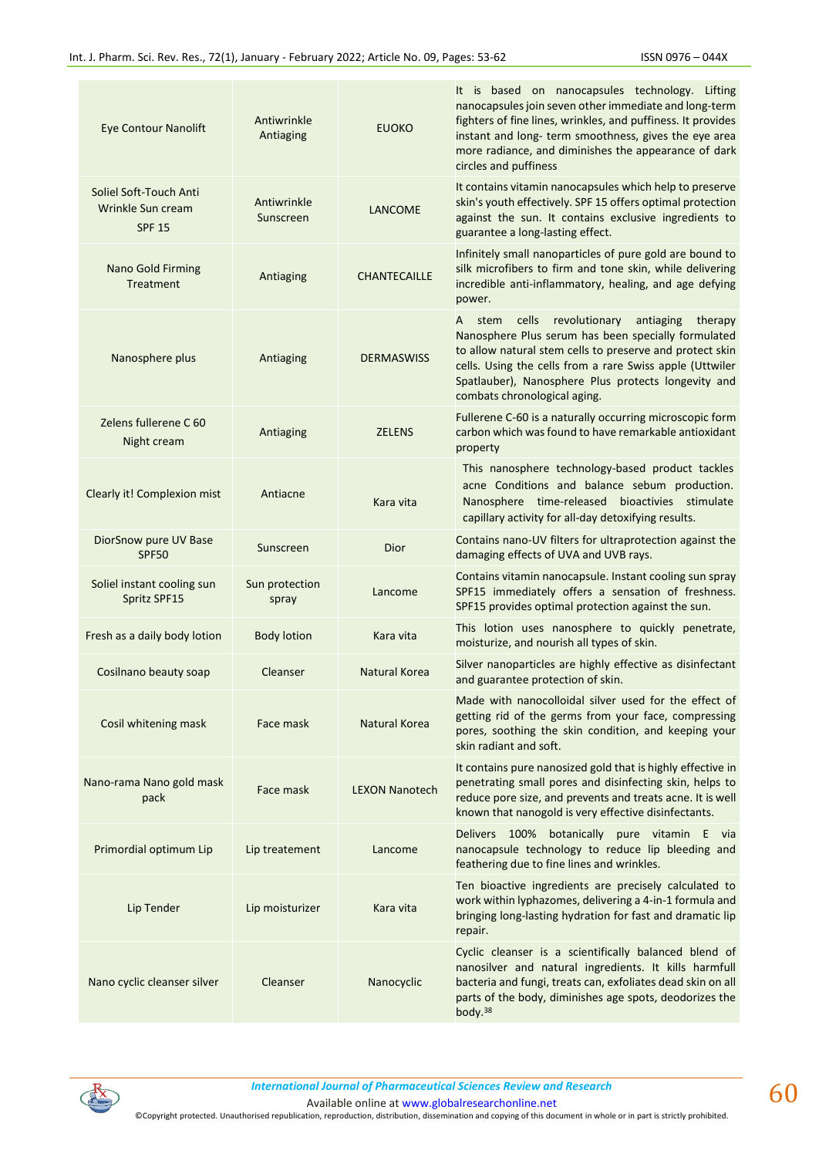| <b>Eye Contour Nanolift</b>                                  | Antiwrinkle<br>Antiaging | <b>EUOKO</b>          | It is based on nanocapsules technology. Lifting<br>nanocapsules join seven other immediate and long-term<br>fighters of fine lines, wrinkles, and puffiness. It provides<br>instant and long- term smoothness, gives the eye area<br>more radiance, and diminishes the appearance of dark<br>circles and puffiness             |
|--------------------------------------------------------------|--------------------------|-----------------------|--------------------------------------------------------------------------------------------------------------------------------------------------------------------------------------------------------------------------------------------------------------------------------------------------------------------------------|
| Soliel Soft-Touch Anti<br>Wrinkle Sun cream<br><b>SPF 15</b> | Antiwrinkle<br>Sunscreen | <b>LANCOME</b>        | It contains vitamin nanocapsules which help to preserve<br>skin's youth effectively. SPF 15 offers optimal protection<br>against the sun. It contains exclusive ingredients to<br>guarantee a long-lasting effect.                                                                                                             |
| Nano Gold Firming<br>Treatment                               | Antiaging                | <b>CHANTECAILLE</b>   | Infinitely small nanoparticles of pure gold are bound to<br>silk microfibers to firm and tone skin, while delivering<br>incredible anti-inflammatory, healing, and age defying<br>power.                                                                                                                                       |
| Nanosphere plus                                              | Antiaging                | <b>DERMASWISS</b>     | cells<br>revolutionary<br>antiaging<br>A stem<br>therapy<br>Nanosphere Plus serum has been specially formulated<br>to allow natural stem cells to preserve and protect skin<br>cells. Using the cells from a rare Swiss apple (Uttwiler<br>Spatlauber), Nanosphere Plus protects longevity and<br>combats chronological aging. |
| Zelens fullerene C 60<br>Night cream                         | Antiaging                | <b>ZELENS</b>         | Fullerene C-60 is a naturally occurring microscopic form<br>carbon which was found to have remarkable antioxidant<br>property                                                                                                                                                                                                  |
| Clearly it! Complexion mist                                  | Antiacne                 | Kara vita             | This nanosphere technology-based product tackles<br>acne Conditions and balance sebum production.<br>Nanosphere time-released bioactivies stimulate<br>capillary activity for all-day detoxifying results.                                                                                                                     |
| DiorSnow pure UV Base<br><b>SPF50</b>                        | Sunscreen                | Dior                  | Contains nano-UV filters for ultraprotection against the<br>damaging effects of UVA and UVB rays.                                                                                                                                                                                                                              |
| Soliel instant cooling sun<br>Spritz SPF15                   | Sun protection<br>spray  | Lancome               | Contains vitamin nanocapsule. Instant cooling sun spray<br>SPF15 immediately offers a sensation of freshness.<br>SPF15 provides optimal protection against the sun.                                                                                                                                                            |
| Fresh as a daily body lotion                                 | <b>Body lotion</b>       | Kara vita             | This lotion uses nanosphere to quickly penetrate,<br>moisturize, and nourish all types of skin.                                                                                                                                                                                                                                |
| Cosilnano beauty soap                                        | Cleanser                 | Natural Korea         | Silver nanoparticles are highly effective as disinfectant<br>and guarantee protection of skin.                                                                                                                                                                                                                                 |
| Cosil whitening mask                                         | Face mask                | Natural Korea         | Made with nanocolloidal silver used for the effect of<br>getting rid of the germs from your face, compressing<br>pores, soothing the skin condition, and keeping your<br>skin radiant and soft.                                                                                                                                |
| Nano-rama Nano gold mask<br>pack                             | Face mask                | <b>LEXON Nanotech</b> | It contains pure nanosized gold that is highly effective in<br>penetrating small pores and disinfecting skin, helps to<br>reduce pore size, and prevents and treats acne. It is well<br>known that nanogold is very effective disinfectants.                                                                                   |
| Primordial optimum Lip                                       | Lip treatement           | Lancome               | Delivers 100% botanically pure vitamin E<br>via<br>nanocapsule technology to reduce lip bleeding and<br>feathering due to fine lines and wrinkles.                                                                                                                                                                             |
| Lip Tender                                                   | Lip moisturizer          | Kara vita             | Ten bioactive ingredients are precisely calculated to<br>work within lyphazomes, delivering a 4-in-1 formula and<br>bringing long-lasting hydration for fast and dramatic lip<br>repair.                                                                                                                                       |
| Nano cyclic cleanser silver                                  | Cleanser                 | Nanocyclic            | Cyclic cleanser is a scientifically balanced blend of<br>nanosilver and natural ingredients. It kills harmfull<br>bacteria and fungi, treats can, exfoliates dead skin on all<br>parts of the body, diminishes age spots, deodorizes the<br>body. <sup>38</sup>                                                                |

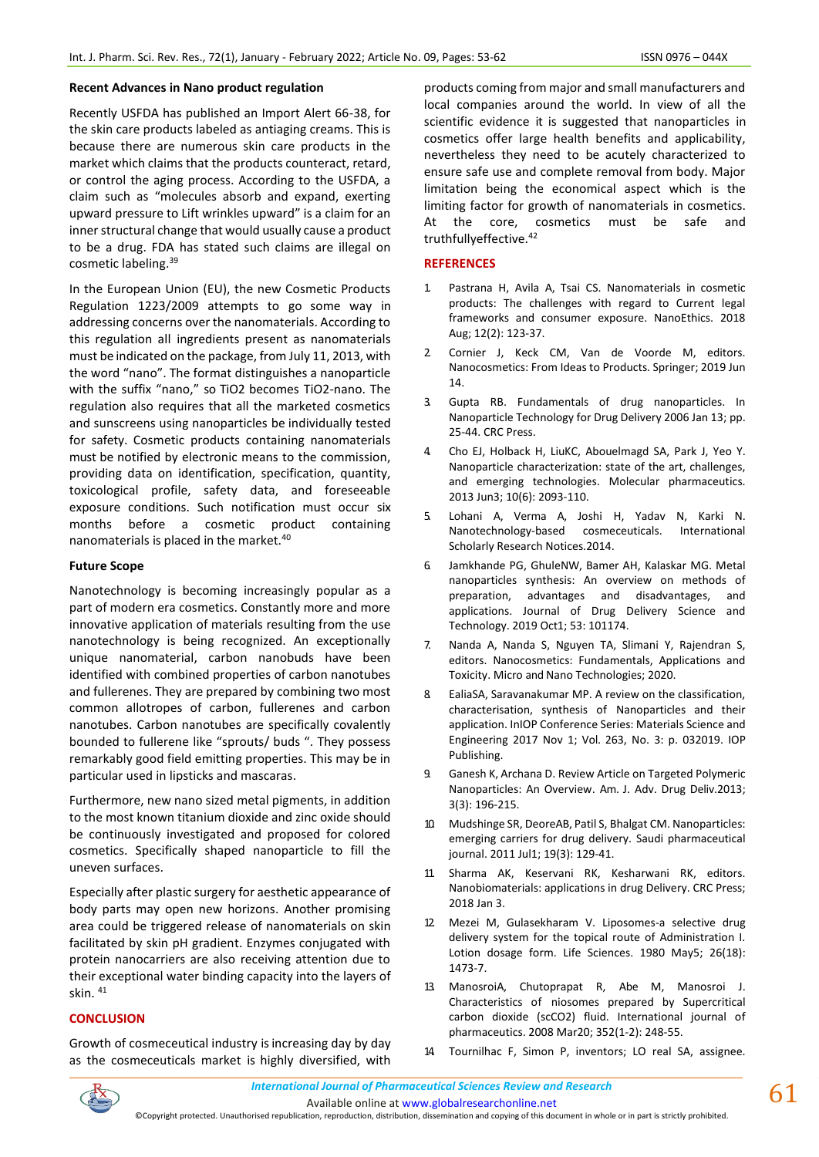### **Recent Advances in Nano product regulation**

Recently USFDA has published an Import Alert 66-38, for the skin care products labeled as antiaging creams. This is because there are numerous skin care products in the market which claims that the products counteract, retard, or control the aging process. According to the USFDA, a claim such as "molecules absorb and expand, exerting upward pressure to Lift wrinkles upward" is a claim for an inner structural change that would usually cause a product to be a drug. FDA has stated such claims are illegal on cosmetic labeling.<sup>39</sup>

In the European Union (EU), the new Cosmetic Products Regulation 1223/2009 attempts to go some way in addressing concerns over the nanomaterials. According to this regulation all ingredients present as nanomaterials must be indicated on the package, from July 11, 2013, with the word "nano". The format distinguishes a nanoparticle with the suffix "nano," so TiO2 becomes TiO2-nano. The regulation also requires that all the marketed cosmetics and sunscreens using nanoparticles be individually tested for safety. Cosmetic products containing nanomaterials must be notified by electronic means to the commission, providing data on identification, specification, quantity, toxicological profile, safety data, and foreseeable exposure conditions. Such notification must occur six months before a cosmetic product containing nanomaterials is placed in the market.<sup>40</sup>

### **Future Scope**

Nanotechnology is becoming increasingly popular as a part of modern era cosmetics. Constantly more and more innovative application of materials resulting from the use nanotechnology is being recognized. An exceptionally unique nanomaterial, carbon nanobuds have been identified with combined properties of carbon nanotubes and fullerenes. They are prepared by combining two most common allotropes of carbon, fullerenes and carbon nanotubes. Carbon nanotubes are specifically covalently bounded to fullerene like "sprouts/ buds ". They possess remarkably good field emitting properties. This may be in particular used in lipsticks and mascaras.

Furthermore, new nano sized metal pigments, in addition to the most known titanium dioxide and zinc oxide should be continuously investigated and proposed for colored cosmetics. Specifically shaped nanoparticle to fill the uneven surfaces.

Especially after plastic surgery for aesthetic appearance of body parts may open new horizons. Another promising area could be triggered release of nanomaterials on skin facilitated by skin pH gradient. Enzymes conjugated with protein nanocarriers are also receiving attention due to their exceptional water binding capacity into the layers of skin. <sup>41</sup>

# **CONCLUSION**

Growth of cosmeceutical industry is increasing day by day as the cosmeceuticals market is highly diversified, with products coming from major and small manufacturers and local companies around the world. In view of all the scientific evidence it is suggested that nanoparticles in cosmetics offer large health benefits and applicability, nevertheless they need to be acutely characterized to ensure safe use and complete removal from body. Major limitation being the economical aspect which is the limiting factor for growth of nanomaterials in cosmetics. At the core, cosmetics must be safe and truthfullyeffective.<sup>42</sup>

### **REFERENCES**

- 1. Pastrana H, Avila A, Tsai CS. Nanomaterials in cosmetic products: The challenges with regard to Current legal frameworks and consumer exposure. NanoEthics. 2018 Aug; 12(2): 123-37.
- 2. Cornier J, Keck CM, Van de Voorde M, editors. Nanocosmetics: From Ideas to Products. Springer; 2019 Jun 14.
- 3. Gupta RB. Fundamentals of drug nanoparticles. In Nanoparticle Technology for Drug Delivery 2006 Jan 13; pp. 25-44. CRC Press.
- 4. Cho EJ, Holback H, LiuKC, Abouelmagd SA, Park J, Yeo Y. Nanoparticle characterization: state of the art, challenges, and emerging technologies. Molecular pharmaceutics. 2013 Jun3; 10(6): 2093-110.
- 5. Lohani A, Verma A, Joshi H, Yadav N, Karki N. Nanotechnology-based cosmeceuticals. International Scholarly Research Notices.2014.
- 6. Jamkhande PG, GhuleNW, Bamer AH, Kalaskar MG. Metal nanoparticles synthesis: An overview on methods of preparation, advantages and disadvantages, and applications. Journal of Drug Delivery Science and Technology. 2019 Oct1; 53: 101174.
- 7. Nanda A, Nanda S, Nguyen TA, Slimani Y, Rajendran S, editors. Nanocosmetics: Fundamentals, Applications and Toxicity. Micro and Nano Technologies; 2020.
- 8. EaliaSA, Saravanakumar MP. A review on the classification, characterisation, synthesis of Nanoparticles and their application. InIOP Conference Series: Materials Science and Engineering 2017 Nov 1; Vol. 263, No. 3: p. 032019. IOP Publishing.
- 9. Ganesh K, Archana D. Review Article on Targeted Polymeric Nanoparticles: An Overview. Am. J. Adv. Drug Deliv.2013; 3(3): 196-215.
- 10. Mudshinge SR, DeoreAB, Patil S, Bhalgat CM. Nanoparticles: emerging carriers for drug delivery. Saudi pharmaceutical journal. 2011 Jul1; 19(3): 129-41.
- 11. Sharma AK, Keservani RK, Kesharwani RK, editors. Nanobiomaterials: applications in drug Delivery. CRC Press; 2018 Jan 3.
- 12. Mezei M, Gulasekharam V. Liposomes-a selective drug delivery system for the topical route of Administration I. Lotion dosage form. Life Sciences. 1980 May5; 26(18): 1473-7.
- 13. ManosroiA, Chutoprapat R, Abe M, Manosroi J. Characteristics of niosomes prepared by Supercritical carbon dioxide (scCO2) fluid. International journal of pharmaceutics. 2008 Mar20; 352(1-2): 248-55.
- Tournilhac F, Simon P, inventors; LO real SA, assignee.